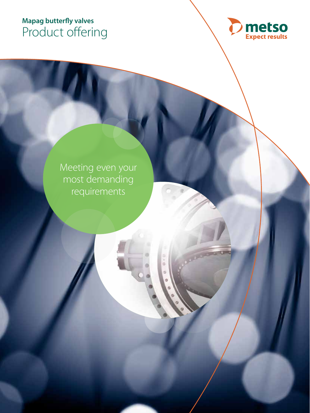## **MAPAG butterfly valves Mapag butterfly valves** Product offering



Meeting even your most demanding requirements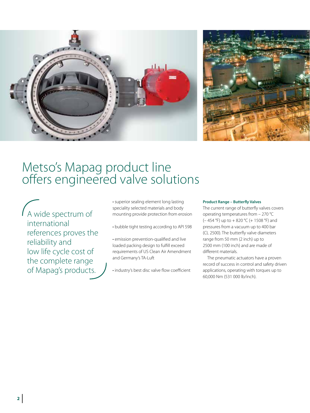

# Metso's Mapag product line offers engineered valve solutions

A wide spectrum of international references proves the reliability and low life cycle cost of the complete range of Mapag's products.

• superior sealing element long lasting speciality selected materials and body mounting provide protection from erosion

• bubble tight testing according to API 598

• emission prevention-qualified and live loaded packing design to fulfill exceed requirements of US Clean Air Amendment and Germany's TA-Luft

• industry's best disc valve flow coefficient

## **Product Range – Butterfly Valves**

The current range of butterfly valves covers operating temperatures from – 270 °C ( $-454$  °F) up to  $+820$  °C ( $+1508$  °F) and pressures from a vacuum up to 400 bar (CL 2500). The butterfly valve diameters range from 50 mm (2 inch) up to 2500 mm (100 inch) and are made of different materials.

The pneumatic actuators have a proven record of success in control and safety driven applications, operating with torques up to 60,000 Nm (531 000 lb/inch).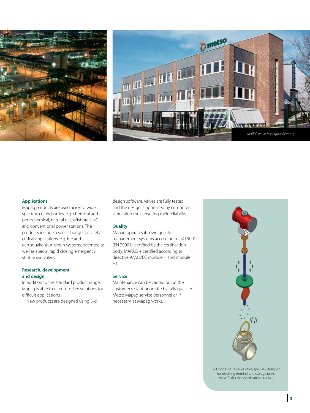



#### **Applications**

Mapag products are used across a wide spectrum of industries, e.g. chemical and petrochemical, natural gas, offshore, LNG and conventional power stations. The products include a special range for safety critical applications, e.g. fire and earthquake shut-down systems, patented as well as special rapid closing emergency shut-down valves.

## **Research, development and design**

In addition to the standard product range, Mapag is able to offer turn-key solutions for difficult applications.

New products are designed using 3-d

design software. Valves are fully tested and the design is optimized by computer simulation thus ensuring their reliability.

## **Quality**

Mapag operates its own quality management systems according to ISO 9001 (EN 29001), certified by the certification body. MAPAG is certified according to directive 97/23/EC module H and module H1.

## **Service**

Maintenance can be carried out at the customer's plant or on site by fully qualified Metso Mapag service personnel or, if necessary, at Mapag works.



3-d model of BK series valve, specially designed for receiving terminal and storage tanks. Valve fulfills the specification EN1743.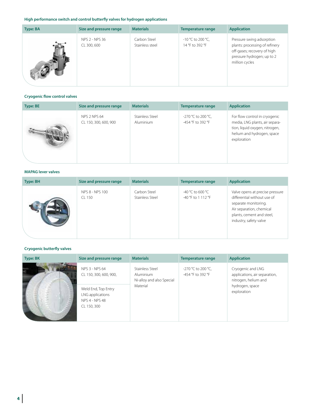## **High performance switch and control butterfly valves for hydrogen applications**

| Type: BA | Size and pressure range       | <b>Materials</b>                | Temperature range                    | <b>Application</b>                                                                                                                         |
|----------|-------------------------------|---------------------------------|--------------------------------------|--------------------------------------------------------------------------------------------------------------------------------------------|
|          | NPS 2 - NPS 36<br>CL 300, 600 | Carbon Steel<br>Stainless steel | -10 °C to 200 °C,<br>14 °F to 392 °F | Pressure swing adsorption<br>plants: processing of refinery<br>off-gases; recovery of high<br>pressure hydrogen; up to 2<br>million cycles |

## **Cryogenic flow control valves**

| <b>Type: BE</b> | Size and pressure range                      | <b>Materials</b>                    | Temperature range                       | <b>Application</b>                                                                                                                             |
|-----------------|----------------------------------------------|-------------------------------------|-----------------------------------------|------------------------------------------------------------------------------------------------------------------------------------------------|
|                 | <b>NPS 2 NPS 64</b><br>CL 150, 300, 600, 900 | Stainless Steel<br><b>Aluminium</b> | -270 °C to 200 °C,<br>-454 °F to 392 °F | For flow control in cryogenic<br>media, LNG plants, air separa-<br>tion, liquid oxygen, nitrogen,<br>helium and hydrogen, space<br>exploration |

## **MAPAG lever valves**

| Type: BH | Size and pressure range   | <b>Materials</b>                | Temperature range                      | <b>Application</b>                                                                                                                                                        |
|----------|---------------------------|---------------------------------|----------------------------------------|---------------------------------------------------------------------------------------------------------------------------------------------------------------------------|
|          | NPS 8 - NPS 100<br>CL 150 | Carbon Steel<br>Stainless Steel | -40 °C to 600 °C<br>-40 °F to 1 112 °F | Valve opens at precise pressure<br>differential without use of<br>separate monitoring.<br>Air separation, chemical<br>plants, cement and steel,<br>industry, safety valve |

## **Cryogenic butterfly valves**

| Type: BK   | Size and pressure range                                                         | <b>Materials</b>                                                      | Temperature range                       | <b>Application</b>                                                                                           |
|------------|---------------------------------------------------------------------------------|-----------------------------------------------------------------------|-----------------------------------------|--------------------------------------------------------------------------------------------------------------|
| <b>THE</b> | NPS 3 - NPS 64<br>CL 150, 300, 600, 900,                                        | Stainless Steel<br>Aluminium<br>Ni-alloy and also Special<br>Material | -270 °C to 200 °C,<br>-454 °F to 392 °F | Cryogenic and LNG<br>applications, air separation,<br>nitrogen, helium and<br>hydrogen, space<br>exploration |
|            | Weld End, Top Entry<br>LNG applications<br><b>NPS 4 - NPS 48</b><br>CL 150, 300 |                                                                       |                                         |                                                                                                              |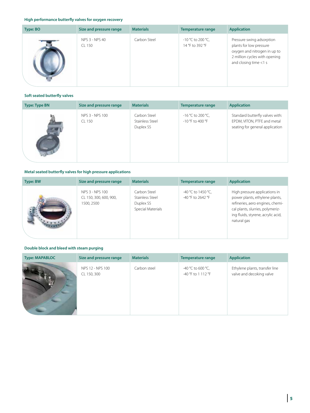## **High performance butterfly valves for oxygen recovery**

| Type: BO | Size and pressure range  | <b>Materials</b> | <b>Temperature range</b>             | <b>Application</b>                                                                                                                             |
|----------|--------------------------|------------------|--------------------------------------|------------------------------------------------------------------------------------------------------------------------------------------------|
|          | NPS 3 - NPS 40<br>CL 150 | Carbon Steel     | -10 °C to 200 °C,<br>14 °F to 392 °F | Pressure swing adsorption<br>plants for low pressure<br>oxygen and nitrogen in up to<br>2 million cycles with opening<br>and closing time <1 s |

## **Soft seated butterfly valves**

| <b>Type: Type BN</b> | Size and pressure range   | <b>Materials</b>                             | <b>Temperature range</b>                | <b>Application</b>                                                                                |
|----------------------|---------------------------|----------------------------------------------|-----------------------------------------|---------------------------------------------------------------------------------------------------|
|                      | NPS 3 - NPS 100<br>CL 150 | Carbon Steel<br>Stainless Steel<br>Duplex SS | $-16$ °C to 200 °C,<br>-10 °F to 400 °F | Standard butterfly valves with:<br>EPDM, VITON, PTFE and metal<br>seating for general application |

## **Metal seated butterfly valves for high pressure applications**

| <b>Type: BW</b> | Size and pressure range                                 | <b>Materials</b>                                                  | <b>Temperature range</b>                  | <b>Application</b>                                                                                                                                                                           |
|-----------------|---------------------------------------------------------|-------------------------------------------------------------------|-------------------------------------------|----------------------------------------------------------------------------------------------------------------------------------------------------------------------------------------------|
|                 | NPS 3 - NPS 100<br>CL 150, 300, 600, 900,<br>1500, 2500 | Carbon Steel<br>Stainless Steel<br>Duplex SS<br>Special Materials | -40 °C to 1450 °C,<br>$-40$ °F to 2642 °F | High pressure applications in<br>power plants, ethylene plants,<br>refineries, aero engines, chemi-<br>cal plants, slurries, polymeriz-<br>ing fluids, styrene, acrylic acid,<br>natural gas |

## **Double block and bleed with steam purging**

| <b>Type: MAPABLOC</b> | Size and pressure range         | <b>Materials</b> | <b>Temperature range</b>                | <b>Application</b>                                         |
|-----------------------|---------------------------------|------------------|-----------------------------------------|------------------------------------------------------------|
|                       | NPS 12 - NPS 100<br>CL 150, 300 | Carbon steel     | -40 °C to 600 °C,<br>-40 °F to 1 112 °F | Ethylene plants, transfer line<br>valve and decoking valve |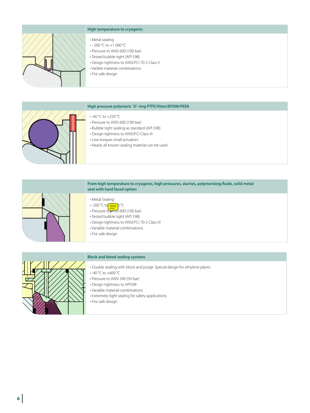

## **High temperature to cryogenic**

- Metal sealing
- - 200 °C to +1 000 °C
- Pressure to ANSI 600 (100 bar)
- Tested bubble tight (API 598)
- Design tightness to ANSI/FCI 70-2 Class V
- Varible material combinations
- Fire safe design

#### **High pressure polymeric ´O` ring PTFE/Viton/EPDM/PEEK**



## • -40 °C to +250 °C

- Pressure to ANSI 600 (100 bar)
- Bubble tight sealing as standard (API 598)
- Design tightness to ANSI/FCI Class VI
- Low torques small actuators
- Nearly all known sealing material can be used



#### **From high temperature to cryogenic, high pressures, slurries, polymerizing fluids, solid metal seat with hard faced option**

- Metal Sealing
- $\cdot$  -200 °C to  $\implies$  P °C
- Pressure to $\overline{\text{MNS}}$  600 (100 bar)
- Tested bubble tight (API 598)
- Design tightness to ANSI/FCI 70-2 Class VI
- Variable material combinations
- Fire safe design



#### **Block and bleed sealing systems**

- Double sealing with block and purge. Special design for ethylene plants
- -40 °C to +600 °C
- Pressure to ANSI 300 (50 bar)
- Design tightness to API598
- Variable material combinations
- Extremely tight sealing for safety applications
- Fire safe design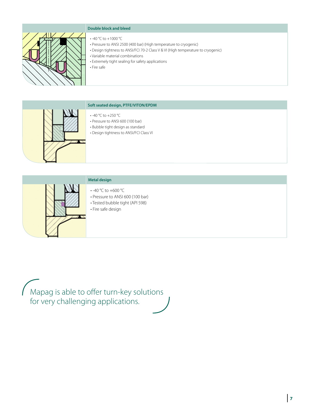

## **Double block and bleed**

- -40 °C to +1000 °C
- Pressure to ANSI 2500 (400 bar) (High temperature to cryogenic)
- Design tightness to ANSI/FCI 70-2 Class V & VI (High temperature to cryogenic)
- Variable material combinations
- Extremely tight sealing for safety applications
- Fire safe



## **Soft seated design, PTFE/VITON/EPDM**

- -40 °C to +250 °C
- Pressure to ANSI 600 (100 bar)
- Bubble tight design as standard
- Design tightness to ANSI/FCI Class VI



## **Metal design**

- -40 °C to +600 °C
- Pressure to ANSI 600 (100 bar)
- Tested bubble tight (API 598)
- Fire safe design

Mapag is able to offer turn-key solutions for very challenging applications.